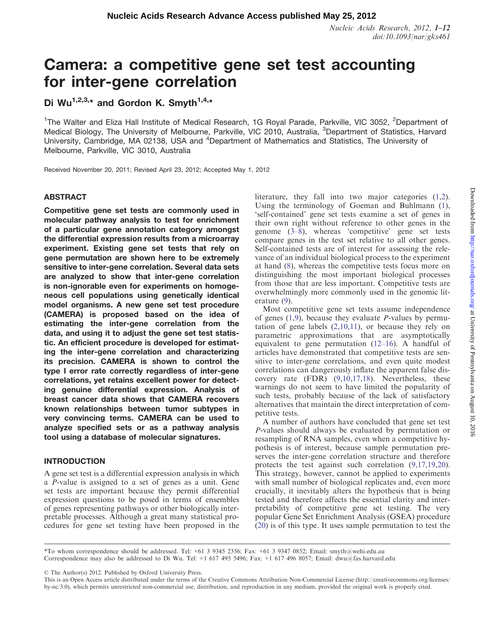Nucleic Acids Research, 2012, 1–12 doi:10.1093/nar/gks461

# Camera: a competitive gene set test accounting for inter-gene correlation

# Di Wu<sup>1,2,3,\*</sup> and Gordon K. Smyth<sup>1,4,\*</sup>

<sup>1</sup>The Walter and Eliza Hall Institute of Medical Research, 1G Royal Parade, Parkville, VIC 3052, <sup>2</sup>Department of Medical Biology, The University of Melbourne, Parkville, VIC 2010, Australia, <sup>3</sup>Department of Statistics, Harvard University, Cambridge, MA 02138, USA and <sup>4</sup>Department of Mathematics and Statistics, The University of Melbourne, Parkville, VIC 3010, Australia

Received November 20, 2011; Revised April 23, 2012; Accepted May 1, 2012

# ABSTRACT

Competitive gene set tests are commonly used in molecular pathway analysis to test for enrichment of a particular gene annotation category amongst the differential expression results from a microarray experiment. Existing gene set tests that rely on gene permutation are shown here to be extremely sensitive to inter-gene correlation. Several data sets are analyzed to show that inter-gene correlation is non-ignorable even for experiments on homogeneous cell populations using genetically identical model organisms. A new gene set test procedure (CAMERA) is proposed based on the idea of estimating the inter-gene correlation from the data, and using it to adjust the gene set test statistic. An efficient procedure is developed for estimating the inter-gene correlation and characterizing its precision. CAMERA is shown to control the type I error rate correctly regardless of inter-gene correlations, yet retains excellent power for detecting genuine differential expression. Analysis of breast cancer data shows that CAMERA recovers known relationships between tumor subtypes in very convincing terms. CAMERA can be used to analyze specified sets or as a pathway analysis tool using a database of molecular signatures.

# INTRODUCTION

A gene set test is a differential expression analysis in which a P-value is assigned to a set of genes as a unit. Gene set tests are important because they permit differential expression questions to be posed in terms of ensembles of genes representing pathways or other biologically interpretable processes. Although a great many statistical procedures for gene set testing have been proposed in the literature, they fall into two major categories [\(1](#page-11-0),[2\)](#page-11-0). Using the terminology of Goeman and Buhlmann ([1\)](#page-11-0), 'self-contained' gene set tests examine a set of genes in their own right without reference to other genes in the genome ([3–8\)](#page-11-0), whereas 'competitive' gene set tests compare genes in the test set relative to all other genes. Self-contained tests are of interest for assessing the relevance of an individual biological process to the experiment at hand [\(8](#page-11-0)), whereas the competitive tests focus more on distinguishing the most important biological processes from those that are less important. Competitive tests are overwhelmingly more commonly used in the genomic literature ([9\)](#page-11-0).

Most competitive gene set tests assume independence of genes  $(1,9)$ , because they evaluate *P*-values by permutation of gene labels  $(2,10,11)$  $(2,10,11)$  $(2,10,11)$  $(2,10,11)$ , or because they rely on parametric approximations that are asymptotically equivalent to gene permutation ([12–16\)](#page-11-0). A handful of articles have demonstrated that competitive tests are sensitive to inter-gene correlations, and even quite modest correlations can dangerously inflate the apparent false discovery rate (FDR) ([9,10,17](#page-11-0),[18\)](#page-11-0). Nevertheless, these warnings do not seem to have limited the popularity of such tests, probably because of the lack of satisfactory alternatives that maintain the direct interpretation of competitive tests.

A number of authors have concluded that gene set test P-values should always be evaluated by permutation or resampling of RNA samples, even when a competitive hypothesis is of interest, because sample permutation preserves the inter-gene correlation structure and therefore protects the test against such correlation ([9,17,19](#page-11-0),[20\)](#page-11-0). This strategy, however, cannot be applied to experiments with small number of biological replicates and, even more crucially, it inevitably alters the hypothesis that is being tested and therefore affects the essential clarity and interpretability of competitive gene set testing. The very popular Gene Set Enrichment Analysis (GSEA) procedure [\(20](#page-11-0)) is of this type. It uses sample permutation to test the

\*To whom correspondence should be addressed. Tel: +61 3 9345 2356; Fax: +61 3 9347 0852; Email: smyth@wehi.edu.au Correspondence may also be addressed to Di Wu. Tel: +1 617 495 5496; Fax: +1 617 496 8057; Email: dwu@fas.harvard.edu

© The Author(s) 2012. Published by Oxford University Press.

This is an Open Access article distributed under the terms of the Creative Commons Attribution Non-Commercial License (http://creativecommons.org/licenses/ by-nc/3.0), which permits unrestricted non-commercial use, distribution, and reproduction in any medium, provided the original work is properly cited.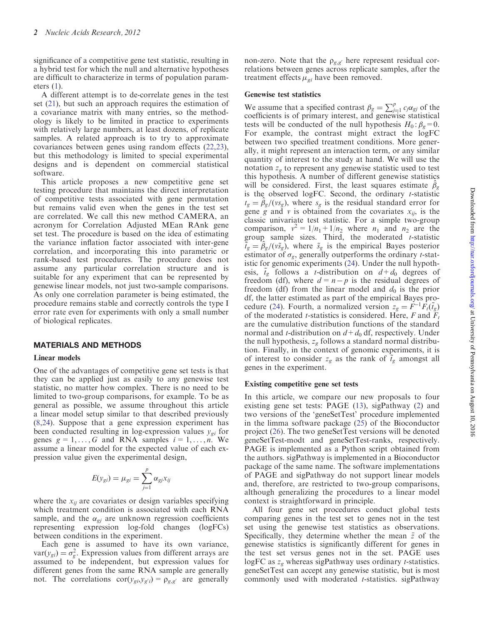significance of a competitive gene test statistic, resulting in a hybrid test for which the null and alternative hypotheses are difficult to characterize in terms of population parameters  $(1)$  $(1)$ .

A different attempt is to de-correlate genes in the test set ([21\)](#page-11-0), but such an approach requires the estimation of a covariance matrix with many entries, so the methodology is likely to be limited in practice to experiments with relatively large numbers, at least dozens, of replicate samples. A related approach is to try to approximate covariances between genes using random effects ([22,23\)](#page-11-0), but this methodology is limited to special experimental designs and is dependent on commercial statistical software.

This article proposes a new competitive gene set testing procedure that maintains the direct interpretation of competitive tests associated with gene permutation but remains valid even when the genes in the test set are correlated. We call this new method CAMERA, an acronym for Correlation Adjusted MEan RAnk gene set test. The procedure is based on the idea of estimating the variance inflation factor associated with inter-gene correlation, and incorporating this into parametric or rank-based test procedures. The procedure does not assume any particular correlation structure and is suitable for any experiment that can be represented by genewise linear models, not just two-sample comparisons. As only one correlation parameter is being estimated, the procedure remains stable and correctly controls the type I error rate even for experiments with only a small number of biological replicates.

# MATERIALS AND METHODS

# Linear models

One of the advantages of competitive gene set tests is that they can be applied just as easily to any genewise test statistic, no matter how complex. There is no need to be limited to two-group comparisons, for example. To be as general as possible, we assume throughout this article a linear model setup similar to that described previously ([8,24](#page-11-0)). Suppose that a gene expression experiment has been conducted resulting in log-expression values  $y_{gi}$  for genes  $g = 1, \ldots, G$  and RNA samples  $i = 1, \ldots, n$ . We assume a linear model for the expected value of each expression value given the experimental design,

$$
E(y_{gi}) = \mu_{gi} = \sum_{j=1}^{p} \alpha_{gi} x_{ij}
$$

where the  $x_{ij}$  are covariates or design variables specifying which treatment condition is associated with each RNA sample, and the  $\alpha_{gi}$  are unknown regression coefficients representing expression log-fold changes (logFCs) between conditions in the experiment.

Each gene is assumed to have its own variance,  $var(y_{gi}) = \sigma_g^2$ . Expression values from different arrays are assumed to be independent, but expression values for different genes from the same RNA sample are generally not. The correlations  $\text{cor}(y_{gi}, y_{g'i}) = \rho_{g,g'}$  are generally non-zero. Note that the  $\rho_{g,g'}$  here represent residual correlations between genes across replicate samples, after the treatment effects  $\mu_{gi}$  have been removed.

#### Genewise test statistics

We assume that a specified contrast  $\beta_g = \sum_{j=1}^p c_j \alpha_{gj}$  of the coefficients is of primary interest, and genewise statistical tests will be conducted of the null hypothesis  $H_0: \beta_g=0$ . For example, the contrast might extract the logFC between two specified treatment conditions. More generally, it might represent an interaction term, or any similar quantity of interest to the study at hand. We will use the notation  $z_g$  to represent any genewise statistic used to test this hypothesis. A number of different genewise statistics will be considered. First, the least squares estimate  $\hat{\beta}_g$ is the observed logFC. Second, the ordinary  $t$ -statistic  $t_g = \hat{\beta}_g/(v s_g)$ , where  $s_g$  is the residual standard error for gene g and v is obtained from the covariates  $x_{ij}$ , is the classic univariate test statistic. For a simple two-group comparison,  $v^2 = 1/n_1 + 1/n_2$  where  $n_1$  and  $n_2$  are the group sample sizes. Third, the moderated  $t$ -statistic  $\tilde{t}_g = \hat{\beta}_g/(\tilde{v}_g)$ , where  $\tilde{s}_g$  is the empirical Bayes posterior estimator of  $\sigma_g$ , generally outperforms the ordinary *t*-statistic for genomic experiments [\(24](#page-11-0)). Under the null hypothesis,  $\tilde{t}_g$  follows a *t*-distribution on  $d+d_0$  degrees of freedom (df), where  $d = n - p$  is the residual degrees of freedom (df) from the linear model and  $d_0$  is the prior df, the latter estimated as part of the empirical Bayes pro-cedure ([24\)](#page-11-0). Fourth, a normalized version  $z_g = \dot{F}^{-1} \bar{F}_t(\tilde{t}_g)$ of the moderated *t*-statistics is considered. Here, F and  $F_t$ are the cumulative distribution functions of the standard normal and *t*-distribution on  $d + d_0$  df, respectively. Under the null hypothesis,  $z_g$  follows a standard normal distribution. Finally, in the context of genomic experiments, it is of interest to consider  $z_g$  as the rank of  $\tilde{t}_g$  amongst all genes in the experiment.

#### Existing competitive gene set tests

In this article, we compare our new proposals to four existing gene set tests: PAGE ([13\)](#page-11-0), sigPathway [\(2](#page-11-0)) and two versions of the 'geneSetTest' procedure implemented in the limma software package [\(25](#page-11-0)) of the Bioconductor project [\(26\)](#page-11-0). The two geneSetTest versions will be denoted geneSetTest-modt and geneSetTest-ranks, respectively. PAGE is implemented as a Python script obtained from the authors. sigPathway is implemented in a Bioconductor package of the same name. The software implementations of PAGE and sigPathway do not support linear models and, therefore, are restricted to two-group comparisons, although generalizing the procedures to a linear model context is straightforward in principle.

All four gene set procedures conduct global tests comparing genes in the test set to genes not in the test set using the genewise test statistics as observations. Specifically, they determine whether the mean  $\bar{z}$  of the genewise statistics is significantly different for genes in the test set versus genes not in the set. PAGE uses logFC as  $z_g$  whereas sigPathway uses ordinary *t*-statistics. geneSetTest can accept any genewise statistic, but is most commonly used with moderated *t*-statistics. sigPathway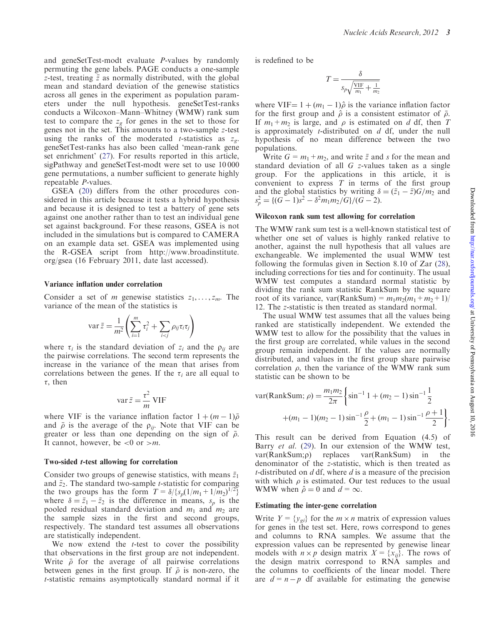and geneSetTest-modt evaluate P-values by randomly permuting the gene labels. PAGE conducts a one-sample z-test, treating  $\bar{z}$  as normally distributed, with the global mean and standard deviation of the genewise statistics across all genes in the experiment as population parameters under the null hypothesis. geneSetTest-ranks conducts a Wilcoxon–Mann–Whitney (WMW) rank sum test to compare the  $z_g$  for genes in the set to those for genes not in the set. This amounts to a two-sample z-test using the ranks of the moderated *t*-statistics as  $z_g$ . geneSetTest-ranks has also been called 'mean-rank gene set enrichment' [\(27](#page-11-0)). For results reported in this article, sigPathway and geneSetTest-modt were set to use 10 000 gene permutations, a number sufficient to generate highly repeatable P-values.

GSEA [\(20](#page-11-0)) differs from the other procedures considered in this article because it tests a hybrid hypothesis and because it is designed to test a battery of gene sets against one another rather than to test an individual gene set against background. For these reasons, GSEA is not included in the simulations but is compared to CAMERA on an example data set. GSEA was implemented using the R-GSEA script from [http://www.broadinstitute.](http:/www.broadinstitute.org/gsea) [org/gsea](http:/www.broadinstitute.org/gsea) (16 February 2011, date last accessed).

#### Variance inflation under correlation

Consider a set of *m* genewise statistics  $z_1, \ldots, z_m$ . The variance of the mean of the statistics is

$$
\operatorname{var} \bar{z} = \frac{1}{m^2} \left( \sum_{i=1}^m \tau_i^2 + \sum_{i < j} \rho_{ij} \tau_i \tau_j \right)
$$

where  $\tau_i$  is the standard deviation of  $z_i$  and the  $\rho_{ij}$  are the pairwise correlations. The second term represents the increase in the variance of the mean that arises from correlations between the genes. If the  $\tau_i$  are all equal to  $\tau$ , then

$$
\operatorname{var} \bar{z} = \frac{\tau^2}{m} \operatorname{VIF}
$$

where VIF is the variance inflation factor  $1 + (m - 1)\overline{\rho}$ and  $\bar{\rho}$  is the average of the  $\rho_{ij}$ . Note that VIF can be greater or less than one depending on the sign of  $\bar{\rho}$ . It cannot, however, be  $\lt 0$  or  $\gt m$ .

#### Two-sided t-test allowing for correlation

Consider two groups of genewise statistics, with means  $\bar{z}_1$ and  $\bar{z}_2$ . The standard two-sample *t*-statistic for comparing the two groups has the form  $T = \delta / { (s_p(1/m_1 + 1/m_2)^{1/2} )}$ where  $\delta = \bar{z}_1 - \bar{z}_2$  is the difference in means,  $s_p$  is the pooled residual standard deviation and  $m_1$  and  $m_2$  are the sample sizes in the first and second groups, respectively. The standard test assumes all observations are statistically independent.

We now extend the  $t$ -test to cover the possibility that observations in the first group are not independent. Write  $\bar{\rho}$  for the average of all pairwise correlations between genes in the first group. If  $\overline{\rho}$  is non-zero, the t-statistic remains asymptotically standard normal if it is redefined to be

$$
T = \frac{\delta}{s_p \sqrt{\frac{VIF}{m_1} + \frac{1}{m_2}}}
$$

where VIF=  $1 + (m_1 - 1)\hat{\rho}$  is the variance inflation factor for the first group and  $\hat{\rho}$  is a consistent estimator of  $\bar{\rho}$ . If  $m_1+m_2$  is large, and  $\rho$  is estimated on d df, then T is approximately *t*-distributed on  $d$  df, under the null hypothesis of no mean difference between the two populations.

Write  $G = m_1 + m_2$ , and write  $\bar{z}$  and s for the mean and standard deviation of all G z-values taken as a single group. For the applications in this article, it is convenient to express  $T$  in terms of the first group and the global statistics by writing  $\delta = (\bar{z}_1 - \bar{z})G/m_2$  and  $s_p^2 = \frac{(G-1)s^2 - \delta^2 m_1 m_2/G}{G-2}.$ 

#### Wilcoxon rank sum test allowing for correlation

The WMW rank sum test is a well-known statistical test of whether one set of values is highly ranked relative to another, against the null hypothesis that all values are exchangeable. We implemented the usual WMW test following the formulas given in Section 8.10 of Zar ([28\)](#page-11-0), including corrections for ties and for continuity. The usual WMW test computes a standard normal statistic by dividing the rank sum statistic RankSum by the square root of its variance, var(RankSum) =  $m_1m_2(m_1+m_2+1)$ / 12. The z-statistic is then treated as standard normal.

The usual WMW test assumes that all the values being ranked are statistically independent. We extended the WMW test to allow for the possibility that the values in the first group are correlated, while values in the second group remain independent. If the values are normally distributed, and values in the first group share pairwise correlation  $\rho$ , then the variance of the WMW rank sum statistic can be shown to be

$$
\text{var(RankSum; } \rho) = \frac{m_1 m_2}{2\pi} \left\{ \sin^{-1} 1 + (m_2 - 1) \sin^{-1} \frac{1}{2} + (m_1 - 1)(m_2 - 1) \sin^{-1} \frac{\rho}{2} + (m_1 - 1) \sin^{-1} \frac{\rho + 1}{2} \right\}.
$$

This result can be derived from Equation (4.5) of Barry et al. [\(29](#page-11-0)). In our extension of the WMW test,  $var(RankSum;\rho)$  replaces  $var(RankSum)$  in the denominator of the z-statistic, which is then treated as t-distributed on  $d$  df, where  $d$  is a measure of the precision with which  $\rho$  is estimated. Our test reduces to the usual WMW when  $\hat{\rho} = 0$  and  $d = \infty$ .

#### Estimating the inter-gene correlation

Write  $Y = \{y_{gi}\}\$ for the  $m \times n$  matrix of expression values for genes in the test set. Here, rows correspond to genes and columns to RNA samples. We assume that the expression values can be represented by genewise linear models with  $n \times p$  design matrix  $X = \{x_{ij}\}\$ . The rows of the design matrix correspond to RNA samples and the columns to coefficients of the linear model. There are  $d = n - p$  df available for estimating the genewise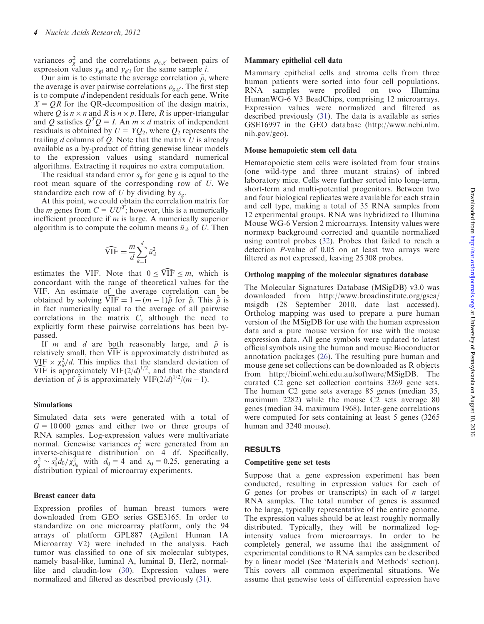variances  $\sigma_g^2$  and the correlations  $\rho_{g,g'}$  between pairs of expression values  $y_{gi}$  and  $y_{g'i}$  for the same sample *i*.

Our aim is to estimate the average correlation  $\bar{\rho}$ , where the average is over pairwise correlations  $\rho_{g,g}$ . The first step is to compute *d* independent residuals for each gene. Write  $X = QR$  for the QR-decomposition of the design matrix, where Q is  $n \times n$  and R is  $n \times p$ . Here, R is upper-triangular and Q satisfies  $Q^TQ = I$ . An  $m \times d$  matrix of independent residuals is obtained by  $U = YQ_2$ , where  $Q_2$  represents the trailing  $d$  columns of  $Q$ . Note that the matrix  $U$  is already available as a by-product of fitting genewise linear models to the expression values using standard numerical algorithms. Extracting it requires no extra computation.

The residual standard error  $s_g$  for gene g is equal to the root mean square of the corresponding row of U. We standardize each row of U by dividing by  $s_g$ .

At this point, we could obtain the correlation matrix for the *m* genes from  $C = UU<sup>T</sup>$ ; however, this is a numerically inefficient procedure if m is large. A numerically superior algorithm is to compute the column means  $\bar{u}_{.k}$  of U. Then

$$
\widehat{\text{VIF}} = \frac{m}{d} \sum_{k=1}^{d} \bar{u}_{k}^{2}
$$

estimates the VIF. Note that  $0 \leq \widehat{VIF} \leq m$ , which is concordant with the range of theoretical values for the VIF. An estimate of the average correlation can be obtained by solving  $\widehat{VIF} = 1 + (m - 1)\hat{\overline{\rho}}$  for  $\hat{\overline{\rho}}$ . This  $\hat{\overline{\rho}}$  is in fact numerically equal to the average of all pairwise correlations in the matrix C, although the need to explicitly form these pairwise correlations has been bypassed.

If *m* and *d* are both reasonably large, and  $\bar{\rho}$  is relatively small, then VIF is approximately distributed as  $VIF \times \chi_d^2/d$ . This implies that the standard deviation of  $\widehat{\text{VIF}}$  is approximately  $\text{VIF}(2/d)^{1/2}$ , and that the standard deviation of  $\hat{\bar{\rho}}$  is approximately VIF(2/d)<sup>1/2</sup>/(m - 1).

# Simulations

Simulated data sets were generated with a total of  $G = 10000$  genes and either two or three groups of RNA samples. Log-expression values were multivariate normal. Genewise variances  $\sigma_g^2$  were generated from an inverse-chisquare distribution on 4 df. Specifically,  $\sigma_g^2 \sim s_0^2 d_0 / \chi_{d_0}^2$  with  $d_0 = 4$  and  $s_0 = 0.25$ , generating a distribution typical of microarray experiments.

#### Breast cancer data

Expression profiles of human breast tumors were downloaded from GEO series GSE3165. In order to standardize on one microarray platform, only the 94 arrays of platform GPL887 (Agilent Human 1A Microarray V2) were included in the analysis. Each tumor was classified to one of six molecular subtypes, namely basal-like, luminal A, luminal B, Her2, normal-like and claudin-low ([30\)](#page-11-0). Expression values were normalized and filtered as described previously ([31\)](#page-11-0).

#### Mammary epithelial cell data

Mammary epithelial cells and stroma cells from three human patients were sorted into four cell populations. RNA samples were profiled on two Illumina HumanWG-6 V3 BeadChips, comprising 12 microarrays. Expression values were normalized and filtered as described previously ([31\)](#page-11-0). The data is available as series GSE16997 in the GEO database ([http://www.ncbi.nlm.](http://www.ncbi.nlm.nih.gov/geo) [nih.gov/geo](http://www.ncbi.nlm.nih.gov/geo)).

#### Mouse hemapoietic stem cell data

Hematopoietic stem cells were isolated from four strains (one wild-type and three mutant strains) of inbred laboratory mice. Cells were further sorted into long-term, short-term and multi-potential progenitors. Between two and four biological replicates were available for each strain and cell type, making a total of 35 RNA samples from 12 experimental groups. RNA was hybridized to Illumina Mouse WG-6 Version 2 microarrays. Intensity values were normexp background corrected and quantile normalized using control probes ([32\)](#page-11-0). Probes that failed to reach a detection P-value of 0.05 on at least two arrays were filtered as not expressed, leaving 25 308 probes.

#### Ortholog mapping of the molecular signatures database

The Molecular Signatures Database (MSigDB) v3.0 was downloaded from [http://www.broadinstitute.org/gsea/](http://www.broadinstitute.org/gsea/msigdb) [msigdb](http://www.broadinstitute.org/gsea/msigdb) (28 September 2010, date last accessed). Ortholog mapping was used to prepare a pure human version of the MSigDB for use with the human expression data and a pure mouse version for use with the mouse expression data. All gene symbols were updated to latest official symbols using the human and mouse Bioconductor annotation packages [\(26](#page-11-0)). The resulting pure human and mouse gene set collections can be downloaded as R objects from [http://bioinf.wehi.edu.au/software/MSigDB.](http://bioinf.wehi.edu.au/software/MSigDB) The curated C2 gene set collection contains 3269 gene sets. The human C2 gene sets average 85 genes (median 35, maximum 2282) while the mouse C2 sets average 80 genes (median 34, maximum 1968). Inter-gene correlations were computed for sets containing at least 5 genes (3265 human and 3240 mouse).

#### RESULTS

#### Competitive gene set tests

Suppose that a gene expression experiment has been conducted, resulting in expression values for each of G genes (or probes or transcripts) in each of  $n$  target RNA samples. The total number of genes is assumed to be large, typically representative of the entire genome. The expression values should be at least roughly normally distributed. Typically, they will be normalized logintensity values from microarrays. In order to be completely general, we assume that the assignment of experimental conditions to RNA samples can be described by a linear model (See 'Materials and Methods' section). This covers all common experimental situations. We assume that genewise tests of differential expression have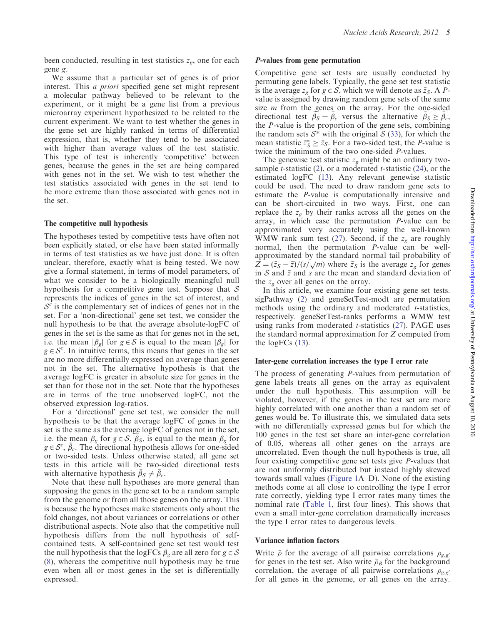been conducted, resulting in test statistics  $z_g$ , one for each gene g.

We assume that a particular set of genes is of prior interest. This a priori specified gene set might represent a molecular pathway believed to be relevant to the experiment, or it might be a gene list from a previous microarray experiment hypothesized to be related to the current experiment. We want to test whether the genes in the gene set are highly ranked in terms of differential expression, that is, whether they tend to be associated with higher than average values of the test statistic. This type of test is inherently 'competitive' between genes, because the genes in the set are being compared with genes not in the set. We wish to test whether the test statistics associated with genes in the set tend to be more extreme than those associated with genes not in the set.

#### The competitive null hypothesis

The hypotheses tested by competitive tests have often not been explicitly stated, or else have been stated informally in terms of test statistics as we have just done. It is often unclear, therefore, exactly what is being tested. We now give a formal statement, in terms of model parameters, of what we consider to be a biologically meaningful null hypothesis for a competitive gene test. Suppose that  $S$ represents the indices of genes in the set of interest, and  $\mathcal{S}^c$  is the complementary set of indices of genes not in the set. For a 'non-directional' gene set test, we consider the null hypothesis to be that the average absolute-logFC of genes in the set is the same as that for genes not in the set, i.e. the mean  $|\beta_{g}|$  for  $g \in S$  is equal to the mean  $|\beta_{g}|$  for  $g \in \mathcal{S}^c$ . In intuitive terms, this means that genes in the set are no more differentially expressed on average than genes not in the set. The alternative hypothesis is that the average logFC is greater in absolute size for genes in the set than for those not in the set. Note that the hypotheses are in terms of the true unobserved logFC, not the observed expression log-ratios.

For a 'directional' gene set test, we consider the null hypothesis to be that the average logFC of genes in the set is the same as the average logFC of genes not in the set, i.e. the mean  $\beta_g$  for  $g \in S$ ,  $\overline{\beta}_s$ , is equal to the mean  $\beta_g$  for  $g \in \mathcal{S}^c$ ,  $\bar{\beta}_c$ . The directional hypothesis allows for one-sided or two-sided tests. Unless otherwise stated, all gene set tests in this article will be two-sided directional tests with alternative hypothesis  $\bar{\beta}_S \neq \bar{\beta}_c$ .

Note that these null hypotheses are more general than supposing the genes in the gene set to be a random sample from the genome or from all those genes on the array. This is because the hypotheses make statements only about the fold changes, not about variances or correlations or other distributional aspects. Note also that the competitive null hypothesis differs from the null hypothesis of selfcontained tests. A self-contained gene set test would test the null hypothesis that the logFCs  $\beta_g$  are all zero for  $g \in S$ [\(8](#page-11-0)), whereas the competitive null hypothesis may be true even when all or most genes in the set is differentially expressed.

#### P-values from gene permutation

Competitive gene set tests are usually conducted by permuting gene labels. Typically, the gene set test statistic is the average  $z_g$  for  $g \in S$ , which we will denote as  $\bar{z}_s$ . A Pvalue is assigned by drawing random gene sets of the same size *m* from the genes on the array. For the one-sided directional test  $\vec{\beta_S} = \vec{\beta_c}$  versus the alternative  $\vec{\beta_S} \geq \vec{\beta_c}$ , the P-value is the proportion of the gene sets, combining the random sets  $S^*$  with the original  $S(33)$  $S(33)$  $S(33)$ , for which the mean statistic  $\bar{z}_s^* \geq \bar{z}_s$ . For a two-sided test, the *P*-value is twice the minimum of the two one-sided P-values.

The genewise test statistic  $z_{\varphi}$  might be an ordinary twosample *t*-statistic  $(2)$  $(2)$ , or a moderated *t*-statistic  $(24)$  $(24)$ , or the estimated logFC [\(13](#page-11-0)). Any relevant genewise statistic could be used. The need to draw random gene sets to estimate the P-value is computationally intensive and can be short-circuited in two ways. First, one can replace the  $z_g$  by their ranks across all the genes on the array, in which case the permutation P-value can be approximated very accurately using the well-known WMW rank sum test ([27](#page-11-0)). Second, if the  $z_g$  are roughly normal, then the permutation P-value can be wellapproximated by the standard normal tail probability of approximated by the standard normal tail probability of  $Z = (\bar{z}_S - \bar{z})/(s/\sqrt{m})$  where  $\bar{z}_S$  is the average  $z_g$  for genes in  $S$  and  $\bar{z}$  and  $s$  are the mean and standard deviation of the  $z_{\varphi}$  over all genes on the array.

In this article, we examine four existing gene set tests. sigPathway [\(2](#page-11-0)) and geneSetTest-modt are permutation methods using the ordinary and moderated  $t$ -statistics, respectively. geneSetTest-ranks performs a WMW test using ranks from moderated *t*-statistics  $(27)$  $(27)$ . PAGE uses the standard normal approximation for Z computed from the  $logFCs$  ([13\)](#page-11-0).

#### Inter-gene correlation increases the type I error rate

The process of generating P-values from permutation of gene labels treats all genes on the array as equivalent under the null hypothesis. This assumption will be violated, however, if the genes in the test set are more highly correlated with one another than a random set of genes would be. To illustrate this, we simulated data sets with no differentially expressed genes but for which the 100 genes in the test set share an inter-gene correlation of 0.05, whereas all other genes on the arrays are uncorrelated. Even though the null hypothesis is true, all four existing competitive gene set tests give P-values that are not uniformly distributed but instead highly skewed towards small values ([Figure 1A](#page-5-0)–D). None of the existing methods come at all close to controlling the type I error rate correctly, yielding type I error rates many times the nominal rate [\(Table 1,](#page-5-0) first four lines). This shows that even a small inter-gene correlation dramatically increases the type I error rates to dangerous levels.

#### Variance inflation factors

Write  $\bar{\rho}$  for the average of all pairwise correlations  $\rho_{g,g'}$ for genes in the test set. Also write  $\bar{\rho}_B$  for the background correlation, the average of all pairwise correlations  $\rho_{g,g'}$ for all genes in the genome, or all genes on the array.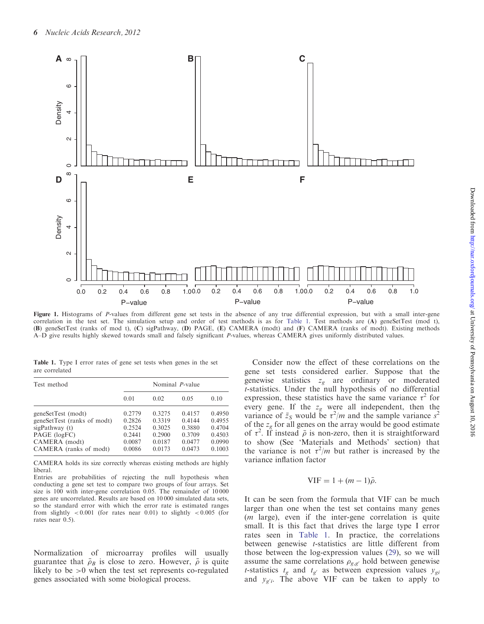<span id="page-5-0"></span>

Figure 1. Histograms of P-values from different gene set tests in the absence of any true differential expression, but with a small inter-gene correlation in the test set. The simulation setup and order of test methods is as for Table 1. Test methods are (A) geneSetTest (mod t), (B) geneSetTest (ranks of mod t), (C) sigPathway, (D) PAGE, (E) CAMERA (modt) and (F) CAMERA (ranks of modt). Existing methods A–D give results highly skewed towards small and falsely significant P-values, whereas CAMERA gives uniformly distributed values.

Table 1. Type I error rates of gene set tests when genes in the set are correlated

| Test method                 | Nominal <i>P</i> -value |        |        |        |  |
|-----------------------------|-------------------------|--------|--------|--------|--|
|                             | 0.01                    | 0.02   | 0.05   | 0.10   |  |
| geneSetTest (modt)          | 0.2779                  | 0.3275 | 0.4157 | 0.4950 |  |
| geneSetTest (ranks of modt) | 0.2826                  | 0.3319 | 0.4144 | 0.4955 |  |
| sigPathway (t)              | 0.2524                  | 0.3025 | 0.3880 | 0.4704 |  |
| PAGE (logFC)                | 0.2441                  | 0.2900 | 0.3709 | 0.4503 |  |
| CAMERA (modt)               | 0.0087                  | 0.0187 | 0.0477 | 0.0990 |  |
| CAMERA (ranks of modt)      | 0.0086                  | 0.0173 | 0.0473 | 0.1003 |  |

CAMERA holds its size correctly whereas existing methods are highly liberal.

Entries are probabilities of rejecting the null hypothesis when conducting a gene set test to compare two groups of four arrays. Set size is 100 with inter-gene correlation 0.05. The remainder of 10 000 genes are uncorrelated. Results are based on 10 000 simulated data sets, so the standard error with which the error rate is estimated ranges from slightly  $< 0.001$  (for rates near 0.01) to slightly  $< 0.005$  (for rates near 0.5).

Normalization of microarray profiles will usually guarantee that  $\bar{\rho}_B$  is close to zero. However,  $\bar{\rho}$  is quite likely to be >0 when the test set represents co-regulated genes associated with some biological process.

Consider now the effect of these correlations on the gene set tests considered earlier. Suppose that the genewise statistics  $z_g$  are ordinary or moderated t-statistics. Under the null hypothesis of no differential expression, these statistics have the same variance  $\tau^2$  for every gene. If the  $z_g$  were all independent, then the variance of  $\bar{z}_s$  would be  $\tau^2/m$  and the sample variance  $s^2$ of the  $z_g$  for all genes on the array would be good estimate of  $\tau^2$ . If instead  $\bar{\rho}$  is non-zero, then it is straightforward to show (See 'Materials and Methods' section) that the variance is not  $\tau^2/m$  but rather is increased by the variance inflation factor

# $VIF = 1 + (m - 1)\bar{\rho}.$

It can be seen from the formula that VIF can be much larger than one when the test set contains many genes (m large), even if the inter-gene correlation is quite small. It is this fact that drives the large type I error rates seen in Table 1. In practice, the correlations between genewise t-statistics are little different from those between the log-expression values ([29\)](#page-11-0), so we will assume the same correlations  $\rho_{g,g'}$  hold between genewise *t*-statistics  $t_g$  and  $t_{g'}$  as between expression values  $y_{gi}$ and  $y_{g'i}$ . The above VIF can be taken to apply to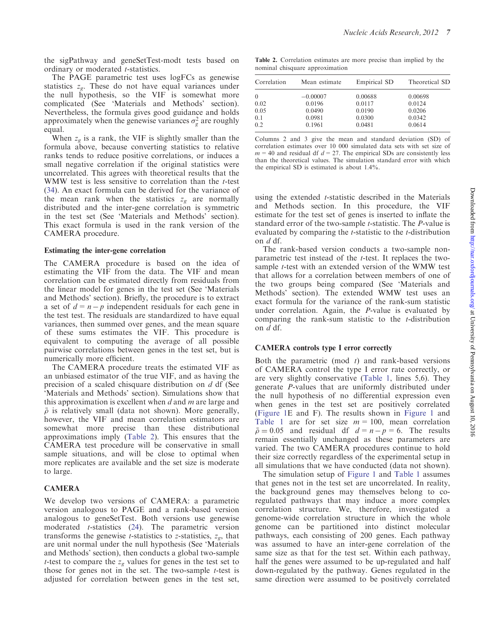the sigPathway and geneSetTest-modt tests based on ordinary or moderated *t*-statistics.

The PAGE parametric test uses logFCs as genewise statistics  $z_g$ . These do not have equal variances under the null hypothesis, so the VIF is somewhat more complicated (See 'Materials and Methods' section). Nevertheless, the formula gives good guidance and holds approximately when the genewise variances  $\sigma_g^2$  are roughly equal.

When  $z<sub>g</sub>$  is a rank, the VIF is slightly smaller than the formula above, because converting statistics to relative ranks tends to reduce positive correlations, or induces a small negative correlation if the original statistics were uncorrelated. This agrees with theoretical results that the WMW test is less sensitive to correlation than the *t*-test [\(34](#page-11-0)). An exact formula can be derived for the variance of the mean rank when the statistics  $z_g$  are normally distributed and the inter-gene correlation is symmetric in the test set (See 'Materials and Methods' section). This exact formula is used in the rank version of the CAMERA procedure.

# Estimating the inter-gene correlation

The CAMERA procedure is based on the idea of estimating the VIF from the data. The VIF and mean correlation can be estimated directly from residuals from the linear model for genes in the test set (See 'Materials and Methods' section). Briefly, the procedure is to extract a set of  $d = n - p$  independent residuals for each gene in the test test. The residuals are standardized to have equal variances, then summed over genes, and the mean square of these sums estimates the VIF. This procedure is equivalent to computing the average of all possible pairwise correlations between genes in the test set, but is numerically more efficient.

The CAMERA procedure treats the estimated VIF as an unbiased estimator of the true VIF, and as having the precision of a scaled chisquare distribution on d df (See 'Materials and Methods' section). Simulations show that this approximation is excellent when  $d$  and  $m$  are large and  $\bar{\rho}$  is relatively small (data not shown). More generally, however, the VIF and mean correlation estimators are somewhat more precise than these distributional approximations imply (Table 2). This ensures that the CAMERA test procedure will be conservative in small sample situations, and will be close to optimal when more replicates are available and the set size is moderate to large.

# CAMERA

We develop two versions of CAMERA: a parametric version analogous to PAGE and a rank-based version analogous to geneSetTest. Both versions use genewise moderated t-statistics ([24\)](#page-11-0). The parametric version transforms the genewise *t*-statistics to *z*-statistics,  $z_{\varrho}$ , that are unit normal under the null hypothesis (See 'Materials and Methods' section), then conducts a global two-sample *t*-test to compare the  $z_g$  values for genes in the test set to those for genes not in the set. The two-sample  $t$ -test is adjusted for correlation between genes in the test set,

Table 2. Correlation estimates are more precise than implied by the nominal chisquare approximation

| Correlation | Mean estimate | Empirical SD | Theoretical SD |
|-------------|---------------|--------------|----------------|
| $\theta$    | $-0.00007$    | 0.00688      | 0.00698        |
| 0.02        | 0.0196        | 0.0117       | 0.0124         |
| 0.05        | 0.0490        | 0.0190       | 0.0206         |
| 0.1         | 0.0981        | 0.0300       | 0.0342         |
| 0.2         | 0.1961        | 0.0481       | 0.0614         |

Columns 2 and 3 give the mean and standard deviation (SD) of correlation estimates over 10 000 simulated data sets with set size of  $m = 40$  and residual df  $d = 27$ . The empirical SDs are consistently less than the theoretical values. The simulation standard error with which the empirical SD is estimated is about 1.4%.

using the extended *t*-statistic described in the Materials and Methods section. In this procedure, the VIF estimate for the test set of genes is inserted to inflate the standard error of the two-sample *t*-statistic. The *P*-value is evaluated by comparing the t-statistic to the t-distribution on d df.

The rank-based version conducts a two-sample nonparametric test instead of the t-test. It replaces the twosample t-test with an extended version of the WMW test that allows for a correlation between members of one of the two groups being compared (See 'Materials and Methods' section). The extended WMW test uses an exact formula for the variance of the rank-sum statistic under correlation. Again, the P-value is evaluated by comparing the rank-sum statistic to the t-distribution on  $d$  df.

# CAMERA controls type I error correctly

Both the parametric (mod  $t$ ) and rank-based versions of CAMERA control the type I error rate correctly, or are very slightly conservative ([Table 1,](#page-5-0) lines 5,6). They generate P-values that are uniformly distributed under the null hypothesis of no differential expression even when genes in the test set are positively correlated [\(Figure 1E](#page-5-0) and F). The results shown in [Figure 1](#page-5-0) and [Table 1](#page-5-0) are for set size  $m = 100$ , mean correlation  $\bar{\rho} = 0.05$  and residual df  $d = n - p = 6$ . The results remain essentially unchanged as these parameters are varied. The two CAMERA procedures continue to hold their size correctly regardless of the experimental setup in all simulations that we have conducted (data not shown).

The simulation setup of [Figure 1](#page-5-0) and [Table 1](#page-5-0) assumes that genes not in the test set are uncorrelated. In reality, the background genes may themselves belong to coregulated pathways that may induce a more complex correlation structure. We, therefore, investigated a genome-wide correlation structure in which the whole genome can be partitioned into distinct molecular pathways, each consisting of 200 genes. Each pathway was assumed to have an inter-gene correlation of the same size as that for the test set. Within each pathway, half the genes were assumed to be up-regulated and half down-regulated by the pathway. Genes regulated in the same direction were assumed to be positively correlated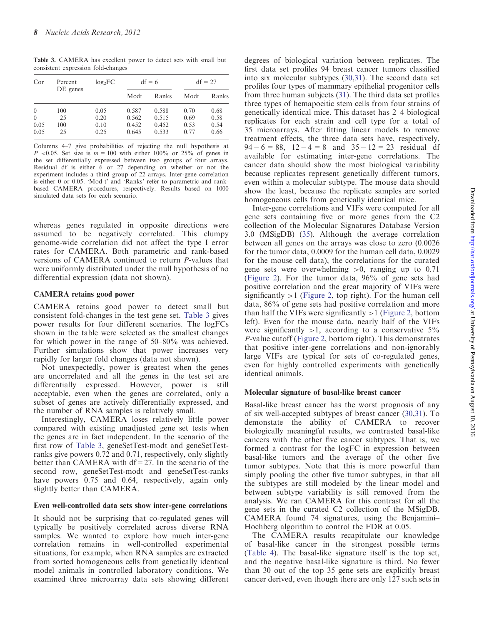Table 3. CAMERA has excellent power to detect sets with small but consistent expression fold-changes

| Cor      | Percent<br>DE genes | $log_2FC$ |       | $df = 6$ | $df = 27$ |       |
|----------|---------------------|-----------|-------|----------|-----------|-------|
|          |                     |           | Modt  | Ranks    | Modt      | Ranks |
| $\theta$ | 100                 | 0.05      | 0.587 | 0.588    | 0.70      | 0.68  |
| $\theta$ | 25                  | 0.20      | 0.562 | 0.515    | 0.69      | 0.58  |
| 0.05     | 100                 | 0.10      | 0.452 | 0.452    | 0.53      | 0.54  |
| 0.05     | 25                  | 0.25      | 0.645 | 0.533    | 0.77      | 0.66  |

Columns 4–7 give probabilities of rejecting the null hypothesis at P <0.05. Set size is  $m = 100$  with either 100% or 25% of genes in the set differentially expressed between two groups of four arrays. Residual df is either 6 or 27 depending on whether or not the experiment includes a third group of 22 arrays. Inter-gene correlation is either 0 or 0.05. 'Mod-t' and 'Ranks' refer to parametric and rankbased CAMERA procedures, respectively. Results based on 1000 simulated data sets for each scenario.

whereas genes regulated in opposite directions were assumed to be negatively correlated. This clumpy genome-wide correlation did not affect the type I error rates for CAMERA. Both parametric and rank-based versions of CAMERA continued to return P-values that were uniformly distributed under the null hypothesis of no differential expression (data not shown).

#### CAMERA retains good power

CAMERA retains good power to detect small but consistent fold-changes in the test gene set. Table 3 gives power results for four different scenarios. The logFCs shown in the table were selected as the smallest changes for which power in the range of 50–80% was achieved. Further simulations show that power increases very rapidly for larger fold changes (data not shown).

Not unexpectedly, power is greatest when the genes are uncorrelated and all the genes in the test set are differentially expressed. However, power is still acceptable, even when the genes are correlated, only a subset of genes are actively differentially expressed, and the number of RNA samples is relatively small.

Interestingly, CAMERA loses relatively little power compared with existing unadjusted gene set tests when the genes are in fact independent. In the scenario of the first row of Table 3, geneSetTest-modt and geneSetTestranks give powers 0.72 and 0.71, respectively, only slightly better than CAMERA with df=27. In the scenario of the second row, geneSetTest-modt and geneSetTest-ranks have powers  $0.75$  and  $0.64$ , respectively, again only slightly better than CAMERA.

#### Even well-controlled data sets show inter-gene correlations

It should not be surprising that co-regulated genes will typically be positively correlated across diverse RNA samples. We wanted to explore how much inter-gene correlation remains in well-controlled experimental situations, for example, when RNA samples are extracted from sorted homogeneous cells from genetically identical model animals in controlled laboratory conditions. We examined three microarray data sets showing different

degrees of biological variation between replicates. The first data set profiles 94 breast cancer tumors classified into six molecular subtypes [\(30](#page-11-0),[31\)](#page-11-0). The second data set profiles four types of mammary epithelial progenitor cells from three human subjects ([31\)](#page-11-0). The third data set profiles three types of hemapoeitic stem cells from four strains of genetically identical mice. This dataset has 2–4 biological replicates for each strain and cell type for a total of 35 microarrays. After fitting linear models to remove treatment effects, the three data sets have, respectively,  $94 - 6 = 88$ ,  $12 - 4 = 8$  and  $35 - 12 = 23$  residual df available for estimating inter-gene correlations. The cancer data should show the most biological variability because replicates represent genetically different tumors, even within a molecular subtype. The mouse data should show the least, because the replicate samples are sorted homogeneous cells from genetically identical mice.

Inter-gene correlations and VIFs were computed for all gene sets containing five or more genes from the C2 collection of the Molecular Signatures Database Version 3.0 (MSigDB) ([35](#page-11-0)). Although the average correlation between all genes on the arrays was close to zero (0.0026 for the tumor data, 0.0009 for the human cell data, 0.0029 for the mouse cell data), the correlations for the curated gene sets were overwhelming  $>0$ , ranging up to 0.71 ([Figure 2\)](#page-8-0). For the tumor data, 96% of gene sets had positive correlation and the great majority of VIFs were significantly  $>1$  [\(Figure 2,](#page-8-0) top right). For the human cell data, 86% of gene sets had positive correlation and more than half the VIFs were significantly  $>1$  [\(Figure 2,](#page-8-0) bottom left). Even for the mouse data, nearly half of the VIFs were significantly  $>1$ , according to a conservative  $5\%$ P-value cutoff ([Figure 2,](#page-8-0) bottom right). This demonstrates that positive inter-gene correlations and non-ignorably large VIFs are typical for sets of co-regulated genes, even for highly controlled experiments with genetically identical animals.

# Molecular signature of basal-like breast cancer

Basal-like breast cancer has the worst prognosis of any of six well-accepted subtypes of breast cancer [\(30,31](#page-11-0)). To demonstate the ability of CAMERA to recover biologically meaningful results, we contrasted basal-like cancers with the other five cancer subtypes. That is, we formed a contrast for the logFC in expression between basal-like tumors and the average of the other five tumor subtypes. Note that this is more powerful than simply pooling the other five tumor subtypes, in that all the subtypes are still modeled by the linear model and between subtype variability is still removed from the analysis. We ran CAMERA for this contrast for all the gene sets in the curated C2 collection of the MSigDB. CAMERA found 74 signatures, using the Benjamini– Hochberg algorithm to control the FDR at 0.05.

The CAMERA results recapitulate our knowledge of basal-like cancer in the strongest possible terms ([Table 4\)](#page-9-0). The basal-like signature itself is the top set, and the negative basal-like signature is third. No fewer than 30 out of the top 35 gene sets are explicitly breast cancer derived, even though there are only 127 such sets in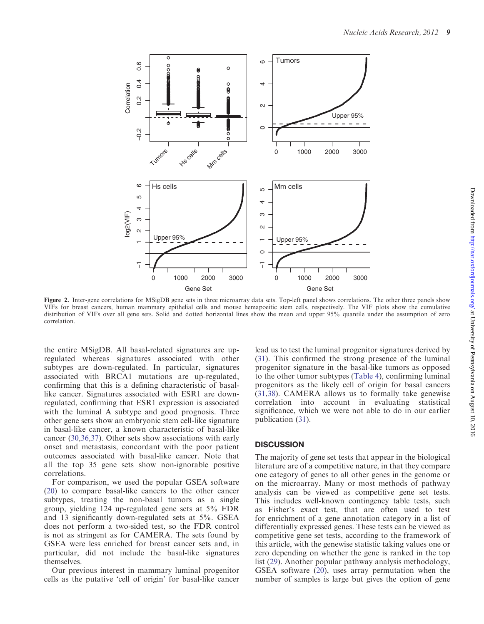<span id="page-8-0"></span>

Figure 2. Inter-gene correlations for MSigDB gene sets in three microarray data sets. Top-left panel shows correlations. The other three panels show VIFs for breast cancers, human mammary epithelial cells and mouse hemapoeitic stem cells, respectively. The VIF plots show the cumulative distribution of VIFs over all gene sets. Solid and dotted horizontal lines show the mean and upper 95% quantile under the assumption of zero correlation.

the entire MSigDB. All basal-related signatures are upregulated whereas signatures associated with other subtypes are down-regulated. In particular, signatures associated with BRCA1 mutations are up-regulated, confirming that this is a defining characteristic of basallike cancer. Signatures associated with ESR1 are downregulated, confirming that ESR1 expression is associated with the luminal A subtype and good prognosis. Three other gene sets show an embryonic stem cell-like signature in basal-like cancer, a known characteristic of basal-like cancer ([30,36,37](#page-11-0)). Other sets show associations with early onset and metastasis, concordant with the poor patient outcomes associated with basal-like cancer. Note that all the top 35 gene sets show non-ignorable positive correlations.

For comparison, we used the popular GSEA software [\(20](#page-11-0)) to compare basal-like cancers to the other cancer subtypes, treating the non-basal tumors as a single group, yielding 124 up-regulated gene sets at 5% FDR and 13 significantly down-regulated sets at 5%. GSEA does not perform a two-sided test, so the FDR control is not as stringent as for CAMERA. The sets found by GSEA were less enriched for breast cancer sets and, in particular, did not include the basal-like signatures themselves.

Our previous interest in mammary luminal progenitor cells as the putative 'cell of origin' for basal-like cancer lead us to test the luminal progenitor signatures derived by [\(31](#page-11-0)). This confirmed the strong presence of the luminal progenitor signature in the basal-like tumors as opposed to the other tumor subtypes ([Table 4\)](#page-9-0), confirming luminal progenitors as the likely cell of origin for basal cancers [\(31](#page-11-0),[38\)](#page-11-0). CAMERA allows us to formally take genewise correlation into account in evaluating statistical significance, which we were not able to do in our earlier publication ([31\)](#page-11-0).

# **DISCUSSION**

The majority of gene set tests that appear in the biological literature are of a competitive nature, in that they compare one category of genes to all other genes in the genome or on the microarray. Many or most methods of pathway analysis can be viewed as competitive gene set tests. This includes well-known contingency table tests, such as Fisher's exact test, that are often used to test for enrichment of a gene annotation category in a list of differentially expressed genes. These tests can be viewed as competitive gene set tests, according to the framework of this article, with the genewise statistic taking values one or zero depending on whether the gene is ranked in the top list ([29](#page-11-0)). Another popular pathway analysis methodology, GSEA software [\(20](#page-11-0)), uses array permutation when the number of samples is large but gives the option of gene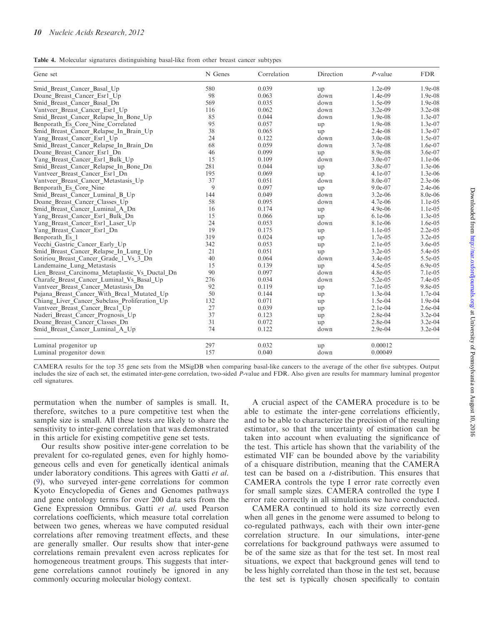<span id="page-9-0"></span>Table 4. Molecular signatures distinguishing basal-like from other breast cancer subtypes

| Gene set                                       | N Genes | Correlation | Direction | $P$ -value | <b>FDR</b> |
|------------------------------------------------|---------|-------------|-----------|------------|------------|
| Smid Breast Cancer Basal Up                    | 580     | 0.039       | up        | $1.2e-09$  | 1.9e-08    |
| Doane Breast Cancer Esr1 Up                    | 98      | 0.063       | down      | 1.4e-09    | 1.9e-08    |
| Smid Breast Cancer Basal Dn                    | 569     | 0.035       | down      | 1.5e-09    | $1.9e-08$  |
| Vantveer Breast Cancer Esrl Up                 | 116     | 0.062       | down      | $3.2e-09$  | $3.2e-08$  |
| Smid Breast Cancer Relapse In Bone Up          | 85      | 0.044       | down      | 1.9e-08    | $1.3e-07$  |
| Benporath Es Core Nine Correlated              | 95      | 0.057       | up        | 1.9e-08    | $1.3e-07$  |
| Smid Breast Cancer Relapse In Brain Up         | 38      | 0.065       | up        | 2.4e-08    | $1.3e-07$  |
| Yang Breast Cancer Esrl Up                     | 24      | 0.122       | down      | $3.0e-08$  | 1.5e-07    |
| Smid Breast Cancer Relapse In Brain Dn         | 68      | 0.059       | down      | 3.7e-08    | 1.6e-07    |
| Doane Breast Cancer Esr1 Dn                    | 46      | 0.099       | up        | 8.9e-08    | 3.6e-07    |
| Yang Breast Cancer Esrl Bulk Up                | 15      | 0.109       | down      | 3.0e-07    | 1.1e-06    |
| Smid Breast Cancer Relapse In Bone Dn          | 281     | 0.044       | up        | 3.8e-07    | $1.3e-06$  |
| Vantveer Breast Cancer Esrl Dn                 | 195     | 0.069       | up        | 4.1e-07    | $1.3e-06$  |
| Vantveer Breast Cancer Metastasis Up           | 37      | 0.051       | down      | 8.0e-07    | $2.3e-06$  |
| Benporath Es Core Nine                         | 9       | 0.097       | up        | 9.0e-07    | $2.4e-06$  |
| Smid Breast Cancer Luminal B Up                | 144     | 0.049       | down      | $3.2e-06$  | 8.0e-06    |
| Doane Breast Cancer Classes Up                 | 58      | 0.095       | down      | 4.7e-06    | $1.1e-0.5$ |
| Smid Breast Cancer Luminal A Dn                | 16      | 0.174       | up        | $4.9e-06$  | $1.1e-0.5$ |
| Yang Breast Cancer Esr1 Bulk Dn                | 15      | 0.066       | up        | $6.1e-06$  | $1.3e-0.5$ |
| Yang Breast_Cancer_Esr1_Laser_Up               | 24      | 0.053       | down      | 8.1e-06    | $1.6e-05$  |
| Yang Breast_Cancer_Esr1_Dn                     | 19      | 0.175       | up        | $1.1e-05$  | $2.2e-0.5$ |
| Benporath_Es 1                                 | 319     | 0.024       | up        | 1.7e-05    | $3.2e-0.5$ |
| Vecchi Gastric Cancer Early Up                 | 342     | 0.053       | up        | $2.1e-0.5$ | $3.6e-0.5$ |
| Smid Breast Cancer Relapse In Lung Up          | 21      | 0.051       | up        | $3.2e-05$  | 5.4e-05    |
| Sotiriou Breast Cancer Grade 1 Vs 3 Dn         | 40      | 0.064       | down      | $3.4e-05$  | 5.5e-05    |
| Landemaine Lung Metastasis                     | 15      | 0.139       | up        | 4.5e-05    | $6.9e-0.5$ |
| Lien Breast_Carcinoma_Metaplastic_Vs_Ductal_Dn | 90      | 0.097       | down      | 4.8e-05    | 7.1e-05    |
| Charafe Breast Cancer Luminal Vs Basal Up      | 276     | 0.034       | down      | $5.2e-05$  | $7.4e-05$  |
| Vantveer Breast Cancer Metastasis Dn           | 92      | 0.119       | up        | 7.1e-05    | $9.8e-0.5$ |
| Pujana Breast Cancer With Brcal Mutated Up     | 50      | 0.144       | up        | 1.3e-04    | 1.7e-04    |
| Chiang Liver Cancer Subclass Proliferation Up  | 132     | 0.071       | up        | 1.5e-04    | 1.9e-04    |
| Vantveer Breast Cancer Brcal Up                | 27      | 0.039       | up        | $2.1e-04$  | 2.6e-04    |
| Naderi Breast Cancer Prognosis Up              | 37      | 0.123       | up        | 2.8e-04    | $3.2e-04$  |
| Doane Breast Cancer Classes Dn                 | 31      | 0.072       | up        | 2.8e-04    | 3.2e-04    |
| Smid_Breast_Cancer_Luminal_A_Up                | 74      | 0.122       | down      | 2.9e-04    | $3.2e-04$  |
| Luminal progenitor up                          | 297     | 0.032       | up        | 0.00012    |            |
| Luminal progenitor down                        | 157     | 0.040       | down      | 0.00049    |            |

CAMERA results for the top 35 gene sets from the MSigDB when comparing basal-like cancers to the average of the other five subtypes. Output includes the size of each set, the estimated inter-gene correlation, two-sided P-value and FDR. Also given are results for mammary luminal progentor cell signatures.

permutation when the number of samples is small. It, therefore, switches to a pure competitive test when the sample size is small. All these tests are likely to share the sensitivity to inter-gene correlation that was demonstrated in this article for existing competitive gene set tests.

Our results show positive inter-gene correlation to be prevalent for co-regulated genes, even for highly homogeneous cells and even for genetically identical animals under laboratory conditions. This agrees with Gatti et al. ([9\)](#page-11-0), who surveyed inter-gene correlations for common Kyoto Encyclopedia of Genes and Genomes pathways and gene ontology terms for over 200 data sets from the Gene Expression Omnibus. Gatti et al. used Pearson correlations coefficients, which measure total correlation between two genes, whereas we have computed residual correlations after removing treatment effects, and these are generally smaller. Our results show that inter-gene correlations remain prevalent even across replicates for homogeneous treatment groups. This suggests that intergene correlations cannot routinely be ignored in any commonly occuring molecular biology context.

A crucial aspect of the CAMERA procedure is to be able to estimate the inter-gene correlations efficiently, and to be able to characterize the precision of the resulting estimator, so that the uncertainty of estimation can be taken into account when evaluating the significance of the test. This article has shown that the variability of the estimated VIF can be bounded above by the variability of a chisquare distribution, meaning that the CAMERA test can be based on a t-distribution. This ensures that CAMERA controls the type I error rate correctly even for small sample sizes. CAMERA controlled the type I error rate correctly in all simulations we have conducted.

CAMERA continued to hold its size correctly even when all genes in the genome were assumed to belong to co-regulated pathways, each with their own inter-gene correlation structure. In our simulations, inter-gene correlations for background pathways were assumed to be of the same size as that for the test set. In most real situations, we expect that background genes will tend to be less highly correlated than those in the test set, because the test set is typically chosen specifically to contain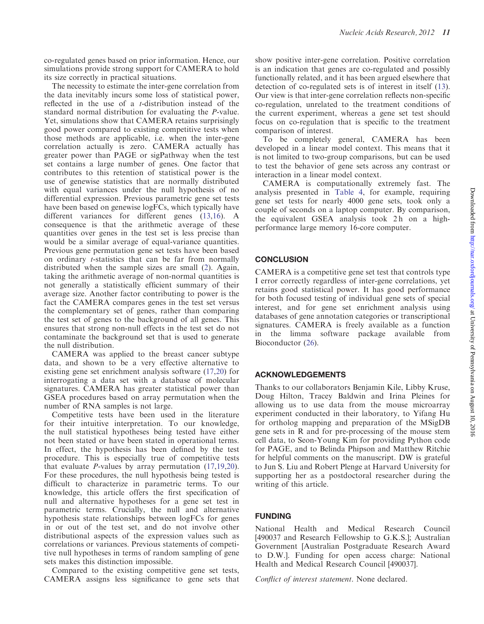co-regulated genes based on prior information. Hence, our simulations provide strong support for CAMERA to hold its size correctly in practical situations.

The necessity to estimate the inter-gene correlation from the data inevitably incurs some loss of statistical power, reflected in the use of a t-distribution instead of the standard normal distribution for evaluating the P-value. Yet, simulations show that CAMERA retains surprisingly good power compared to existing competitive tests when those methods are applicable, i.e. when the inter-gene correlation actually is zero. CAMERA actually has greater power than PAGE or sigPathway when the test set contains a large number of genes. One factor that contributes to this retention of statistical power is the use of genewise statistics that are normally distributed with equal variances under the null hypothesis of no differential expression. Previous parametric gene set tests have been based on genewise logFCs, which typically have different variances for different genes ([13,16](#page-11-0)). A consequence is that the arithmetic average of these quantities over genes in the test set is less precise than would be a similar average of equal-variance quantities. Previous gene permutation gene set tests have been based on ordinary t-statistics that can be far from normally distributed when the sample sizes are small ([2\)](#page-11-0). Again, taking the arithmetic average of non-normal quantities is not generally a statistically efficient summary of their average size. Another factor contributing to power is the fact the CAMERA compares genes in the test set versus the complementary set of genes, rather than comparing the test set of genes to the background of all genes. This ensures that strong non-null effects in the test set do not contaminate the background set that is used to generate the null distribution.

CAMERA was applied to the breast cancer subtype data, and shown to be a very effective alternative to existing gene set enrichment analysis software ([17,20](#page-11-0)) for interrogating a data set with a database of molecular signatures. CAMERA has greater statistical power than GSEA procedures based on array permutation when the number of RNA samples is not large.

Competitive tests have been used in the literature for their intuitive interpretation. To our knowledge, the null statistical hypotheses being tested have either not been stated or have been stated in operational terms. In effect, the hypothesis has been defined by the test procedure. This is especially true of competitive tests that evaluate  $P$ -values by array permutation  $(17,19,20)$  $(17,19,20)$  $(17,19,20)$  $(17,19,20)$ . For these procedures, the null hypothesis being tested is difficult to characterize in parametric terms. To our knowledge, this article offers the first specification of null and alternative hypotheses for a gene set test in parametric terms. Crucially, the null and alternative hypothesis state relationships between logFCs for genes in or out of the test set, and do not involve other distributional aspects of the expression values such as correlations or variances. Previous statements of competitive null hypotheses in terms of random sampling of gene sets makes this distinction impossible.

Compared to the existing competitive gene set tests, CAMERA assigns less significance to gene sets that show positive inter-gene correlation. Positive correlation is an indication that genes are co-regulated and possibly functionally related, and it has been argued elsewhere that detection of co-regulated sets is of interest in itself ([13\)](#page-11-0). Our view is that inter-gene correlation reflects non-specific co-regulation, unrelated to the treatment conditions of the current experiment, whereas a gene set test should focus on co-regulation that is specific to the treatment comparison of interest.

To be completely general, CAMERA has been developed in a linear model context. This means that it is not limited to two-group comparisons, but can be used to test the behavior of gene sets across any contrast or interaction in a linear model context.

CAMERA is computationally extremely fast. The analysis presented in [Table 4](#page-9-0), for example, requiring gene set tests for nearly 4000 gene sets, took only a couple of seconds on a laptop computer. By comparison, the equivalent GSEA analysis took 2h on a highperformance large memory 16-core computer.

# **CONCLUSION**

CAMERA is a competitive gene set test that controls type I error correctly regardless of inter-gene correlations, yet retains good statistical power. It has good performance for both focused testing of individual gene sets of special interest, and for gene set enrichment analysis using databases of gene annotation categories or transcriptional signatures. CAMERA is freely available as a function in the limma software package available from Bioconductor ([26\)](#page-11-0).

# ACKNOWLEDGEMENTS

Thanks to our collaborators Benjamin Kile, Libby Kruse, Doug Hilton, Tracey Baldwin and Irina Pleines for allowing us to use data from the mouse microarray experiment conducted in their laboratory, to Yifang Hu for ortholog mapping and preparation of the MSigDB gene sets in R and for pre-processing of the mouse stem cell data, to Seon-Young Kim for providing Python code for PAGE, and to Belinda Phipson and Matthew Ritchie for helpful comments on the manuscript. DW is grateful to Jun S. Liu and Robert Plenge at Harvard University for supporting her as a postdoctoral researcher during the writing of this article.

# FUNDING

National Health and Medical Research Council [490037 and Research Fellowship to G.K.S.]; Australian Government [Australian Postgraduate Research Award to D.W.]. Funding for open access charge: National Health and Medical Research Council [490037].

Conflict of interest statement. None declared.